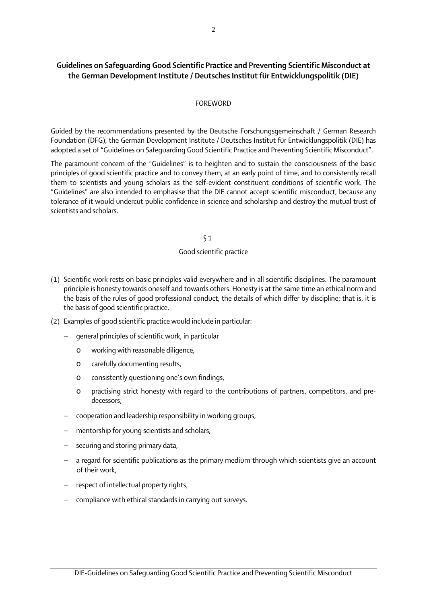# Guidelines on Safeguarding Good Scientific Practice and Preventing Scientific Misconduct at the German Development Institute / Deutsches Institut für Entwicklungspolitik (DIE)

## FOREWORD

Guided by the recommendations presented by the Deutsche Forschungsgemeinschaft / German Research Foundation (DFG), the German Development Institute / Deutsches Institut für Entwicklungspolitik (DIE) has adopted a set of "Guidelines on Safeguarding Good Scientific Practice and Preventing Scientific Misconduct".

The paramount concern of the "Guidelines" is to heighten and to sustain the consciousness of the basic principles of good scientific practice and to convey them, at an early point of time, and to consistently recall them to scientists and young scholars as the self-evident constituent conditions of scientific work. The "Guidelines" are also intended to emphasise that the DIE cannot accept scientific misconduct, because any tolerance of it would undercut public confidence in science and scholarship and destroy the mutual trust of scientists and scholars.

## § 1

## Good scientific practice

- (1) Scientific work rests on basic principles valid everywhere and in all scientific disciplines. The paramount principle is honesty towards oneself and towards others. Honesty is at the same time an ethical norm and the basis of the rules of good professional conduct, the details of which differ by discipline; that is, it is the basis of good scientific practice.
- (2) Examples of good scientific practice would include in particular:
	- qeneral principles of scientific work, in particular
		- o working with reasonable diligence,
		- o carefully documenting results,
		- o consistently questioning one's own findings,
		- o practising strict honesty with regard to the contributions of partners, competitors, and predecessors;
	- − cooperation and leadership responsibility in working groups,
	- mentorship for young scientists and scholars,
	- securing and storing primary data,
	- − a regard for scientific publications as the primary medium through which scientists give an account of their work,
	- − respect of intellectual property rights,
	- − compliance with ethical standards in carrying out surveys.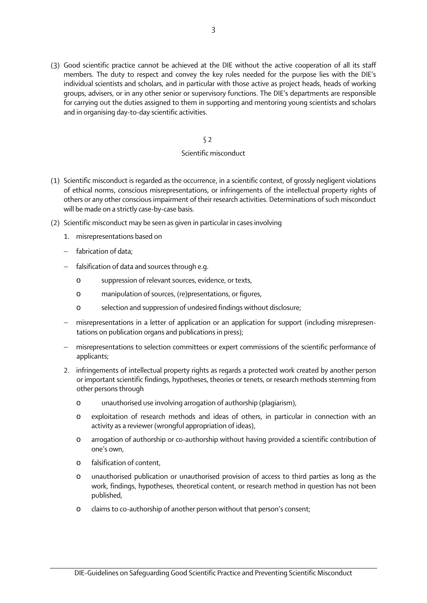(3) Good scientific practice cannot be achieved at the DIE without the active cooperation of all its staff members. The duty to respect and convey the key rules needed for the purpose lies with the DIE's individual scientists and scholars, and in particular with those active as project heads, heads of working groups, advisers, or in any other senior or supervisory functions. The DIE's departments are responsible for carrying out the duties assigned to them in supporting and mentoring young scientists and scholars and in organising day-to-day scientific activities.

## § 2

## Scientific misconduct

- (1) Scientific misconduct is regarded as the occurrence, in a scientific context, of grossly negligent violations of ethical norms, conscious misrepresentations, or infringements of the intellectual property rights of others or any other conscious impairment of their research activities. Determinations of such misconduct will be made on a strictly case-by-case basis.
- (2) Scientific misconduct may be seen as given in particular in cases involving
	- 1. misrepresentations based on
	- − fabrication of data;
	- − falsification of data and sources through e.g.
		- o suppression of relevant sources, evidence, or texts,
		- o manipulation of sources, (re)presentations, or figures,
		- o selection and suppression of undesired findings without disclosure;
	- − misrepresentations in a letter of application or an application for support (including misrepresentations on publication organs and publications in press);
	- − misrepresentations to selection committees or expert commissions of the scientific performance of applicants;
	- 2. infringements of intellectual property rights as regards a protected work created by another person or important scientific findings, hypotheses, theories or tenets, or research methods stemming from other persons through
		- o unauthorised use involving arrogation of authorship (plagiarism),
		- o exploitation of research methods and ideas of others, in particular in connection with an activity as a reviewer (wrongful appropriation of ideas),
		- o arrogation of authorship or co-authorship without having provided a scientific contribution of one's own,
		- o falsification of content,
		- o unauthorised publication or unauthorised provision of access to third parties as long as the work, findings, hypotheses, theoretical content, or research method in question has not been published,
		- o claims to co-authorship of another person without that person's consent;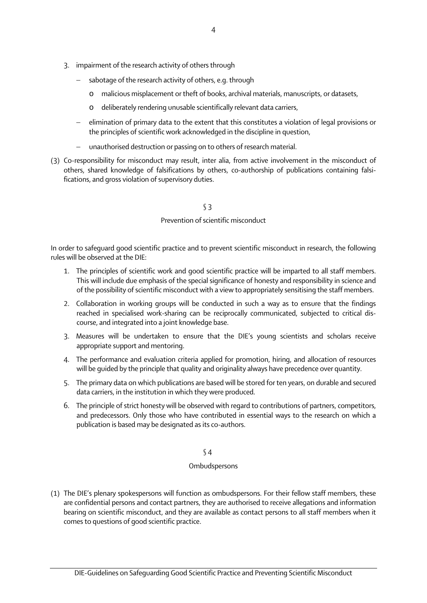- 3. impairment of the research activity of others through
	- sabotage of the research activity of others, e.g. through
		- o malicious misplacement or theft of books, archival materials, manuscripts, or datasets,
		- o deliberately rendering unusable scientifically relevant data carriers,
	- − elimination of primary data to the extent that this constitutes a violation of legal provisions or the principles of scientific work acknowledged in the discipline in question,
	- − unauthorised destruction or passing on to others of research material.
- (3) Co-responsibility for misconduct may result, inter alia, from active involvement in the misconduct of others, shared knowledge of falsifications by others, co-authorship of publications containing falsifications, and gross violation of supervisory duties.

## § 3

## Prevention of scientific misconduct

In order to safeguard good scientific practice and to prevent scientific misconduct in research, the following rules will be observed at the DIE:

- 1. The principles of scientific work and good scientific practice will be imparted to all staff members. This will include due emphasis of the special significance of honesty and responsibility in science and of the possibility of scientific misconduct with a view to appropriately sensitising the staff members.
- 2. Collaboration in working groups will be conducted in such a way as to ensure that the findings reached in specialised work-sharing can be reciprocally communicated, subjected to critical discourse, and integrated into a joint knowledge base.
- 3. Measures will be undertaken to ensure that the DIE's young scientists and scholars receive appropriate support and mentoring.
- 4. The performance and evaluation criteria applied for promotion, hiring, and allocation of resources will be guided by the principle that quality and originality always have precedence over quantity.
- 5. The primary data on which publications are based will be stored for ten years, on durable and secured data carriers, in the institution in which they were produced.
- 6. The principle of strict honesty will be observed with regard to contributions of partners, competitors, and predecessors. Only those who have contributed in essential ways to the research on which a publication is based may be designated as its co-authors.

## § 4

## **Ombudspersons**

(1) The DIE's plenary spokespersons will function as ombudspersons. For their fellow staff members, these are confidential persons and contact partners, they are authorised to receive allegations and information bearing on scientific misconduct, and they are available as contact persons to all staff members when it comes to questions of good scientific practice.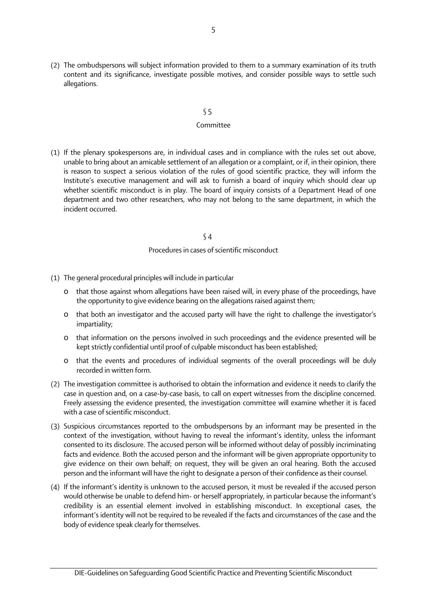(2) The ombudspersons will subject information provided to them to a summary examination of its truth content and its significance, investigate possible motives, and consider possible ways to settle such allegations.

## § 5

#### Committee

(1) If the plenary spokespersons are, in individual cases and in compliance with the rules set out above, unable to bring about an amicable settlement of an allegation or a complaint, or if, in their opinion, there is reason to suspect a serious violation of the rules of good scientific practice, they will inform the Institute's executive management and will ask to furnish a board of inquiry which should clear up whether scientific misconduct is in play. The board of inquiry consists of a Department Head of one department and two other researchers, who may not belong to the same department, in which the incident occurred.

## § 4

## Procedures in cases of scientific misconduct

- (1) The general procedural principles will include in particular
	- o that those against whom allegations have been raised will, in every phase of the proceedings, have the opportunity to give evidence bearing on the allegations raised against them;
	- o that both an investigator and the accused party will have the right to challenge the investigator's impartiality;
	- o that information on the persons involved in such proceedings and the evidence presented will be kept strictly confidential until proof of culpable misconduct has been established;
	- o that the events and procedures of individual segments of the overall proceedings will be duly recorded in written form.
- (2) The investigation committee is authorised to obtain the information and evidence it needs to clarify the case in question and, on a case-by-case basis, to call on expert witnesses from the discipline concerned. Freely assessing the evidence presented, the investigation committee will examine whether it is faced with a case of scientific misconduct.
- (3) Suspicious circumstances reported to the ombudspersons by an informant may be presented in the context of the investigation, without having to reveal the informant's identity, unless the informant consented to its disclosure. The accused person will be informed without delay of possibly incriminating facts and evidence. Both the accused person and the informant will be given appropriate opportunity to give evidence on their own behalf; on request, they will be given an oral hearing. Both the accused person and the informant will have the right to designate a person of their confidence as their counsel.
- (4) If the informant's identity is unknown to the accused person, it must be revealed if the accused person would otherwise be unable to defend him- or herself appropriately, in particular because the informant's credibility is an essential element involved in establishing misconduct. In exceptional cases, the informant's identity will not be required to be revealed if the facts and circumstances of the case and the body of evidence speak clearly for themselves.